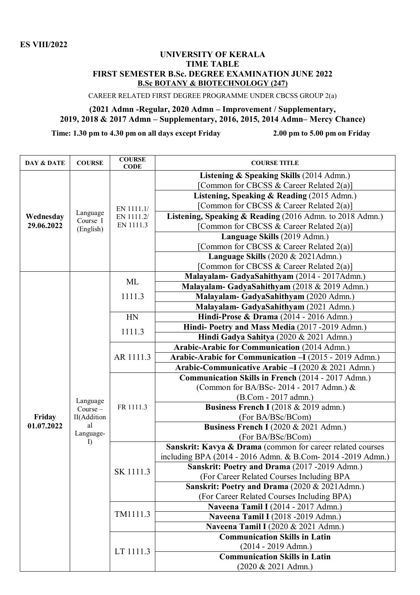## **UNIVERSITY OF KERALA TIME TABLE FIRST SEMESTER B.Sc. DEGREE EXAMINATION JUNE 2022 B.Sc BOTANY & BIOTECHNOLOGY (247)**

CAREER RELATED FIRST DEGREE PROGRAMME UNDER CBCSS GROUP 2(a)

## **(2021 Admn -Regular, 2020 Admn – Improvement / Supplementary, 2019, 2018 & 2017 Admn – Supplementary, 2016, 2015, 2014 Admn– Mercy Chance)**

**Time: 1.30 pm to 4.30 pm on all days except Friday 2.00 pm to 5.00 pm on Friday**

| DAY & DATE              | <b>COURSE</b>                                                  | <b>COURSE</b><br><b>CODE</b>          | <b>COURSE TITLE</b>                                          |
|-------------------------|----------------------------------------------------------------|---------------------------------------|--------------------------------------------------------------|
| Wednesday<br>29.06.2022 |                                                                |                                       | Listening & Speaking Skills (2014 Admn.)                     |
|                         | Language<br>Course I<br>(English)                              | EN 1111.1/<br>EN 1111.2/<br>EN 1111.3 | Common for CBCSS & Career Related 2(a)]                      |
|                         |                                                                |                                       | Listening, Speaking & Reading (2015 Admn.)                   |
|                         |                                                                |                                       | [Common for CBCSS & Career Related 2(a)]                     |
|                         |                                                                |                                       | Listening, Speaking & Reading (2016 Admn. to 2018 Admn.)     |
|                         |                                                                |                                       | [Common for CBCSS & Career Related 2(a)]                     |
|                         |                                                                |                                       | Language Skills (2019 Admn.)                                 |
|                         |                                                                |                                       | [Common for CBCSS & Career Related 2(a)]                     |
|                         |                                                                |                                       | Language Skills (2020 & 2021Admn.)                           |
|                         |                                                                |                                       | [Common for CBCSS & Career Related 2(a)]                     |
|                         |                                                                | ML                                    | Malayalam- GadyaSahithyam (2014 - 2017Admn.)                 |
|                         |                                                                |                                       | Malayalam- GadyaSahithyam (2018 & 2019 Admn.)                |
|                         |                                                                | 1111.3                                | Malayalam- GadyaSahithyam (2020 Admn.)                       |
|                         |                                                                |                                       | Malayalam- GadyaSahithyam (2021 Admn.)                       |
|                         |                                                                | HN                                    | Hindi-Prose & Drama (2014 - 2016 Admn.)                      |
|                         | Language<br>$Course -$<br>II(Addition<br>al<br>Language-<br>I) | 1111.3                                | Hindi-Poetry and Mass Media (2017-2019 Admn.)                |
|                         |                                                                |                                       | Hindi Gadya Sahitya (2020 & 2021 Admn.)                      |
|                         |                                                                | AR 1111.3                             | <b>Arabic-Arabic for Communication (2014 Admn.)</b>          |
|                         |                                                                |                                       | Arabic-Arabic for Communication - I (2015 - 2019 Admn.)      |
|                         |                                                                |                                       | Arabic-Communicative Arabic - I (2020 & 2021 Admn.)          |
|                         |                                                                | FR 1111.3                             | Communication Skills in French (2014 - 2017 Admn.)           |
|                         |                                                                |                                       | (Common for BA/BSc-2014 - 2017 Admn.) &                      |
|                         |                                                                |                                       | (B.Com - 2017 admn.)                                         |
|                         |                                                                |                                       | Business French I (2018 & 2019 admn.)                        |
| Friday                  |                                                                |                                       | (For BA/BSc/BCom)                                            |
| 01.07.2022              |                                                                |                                       | Business French I (2020 & 2021 Admn.)                        |
|                         |                                                                |                                       | (For BA/BSc/BCom)                                            |
|                         |                                                                | SK 1111.3<br>TM1111.3                 | Sanskrit: Kavya & Drama (common for career related courses   |
|                         |                                                                |                                       | including BPA (2014 - 2016 Admn. & B.Com- 2014 - 2019 Admn.) |
|                         |                                                                |                                       | Sanskrit: Poetry and Drama (2017-2019 Admn.)                 |
|                         |                                                                |                                       | (For Career Related Courses Including BPA                    |
|                         |                                                                |                                       | Sanskrit: Poetry and Drama (2020 & 2021Admn.)                |
|                         |                                                                |                                       | (For Career Related Courses Including BPA)                   |
|                         |                                                                |                                       | Naveena Tamil I (2014 - 2017 Admn.)                          |
|                         |                                                                |                                       | Naveena Tamil I (2018 -2019 Admn.)                           |
|                         |                                                                | LT 1111.3                             | Naveena Tamil I (2020 & 2021 Admn.)                          |
|                         |                                                                |                                       | <b>Communication Skills in Latin</b>                         |
|                         |                                                                |                                       | $(2014 - 2019$ Admn.)                                        |
|                         |                                                                |                                       | <b>Communication Skills in Latin</b>                         |
|                         |                                                                |                                       | $(2020 \& 2021$ Admn.)                                       |